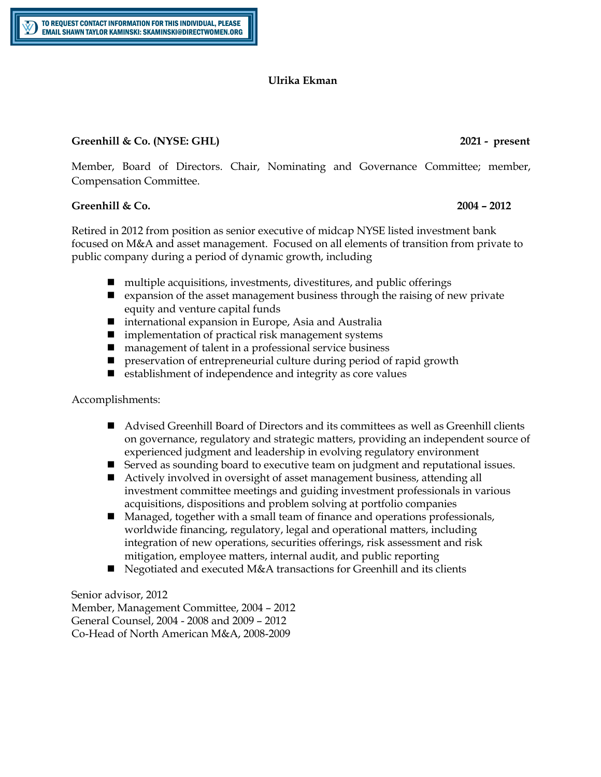# **Ulrika Ekman**

## **Greenhill & Co. (NYSE: GHL) 2021 - present**

Member, Board of Directors. Chair, Nominating and Governance Committee; member, Compensation Committee.

## **Greenhill & Co. 2004 – 2012**

Retired in 2012 from position as senior executive of midcap NYSE listed investment bank focused on M&A and asset management. Focused on all elements of transition from private to public company during a period of dynamic growth, including

- $\blacksquare$  multiple acquisitions, investments, divestitures, and public offerings
- $\blacksquare$  expansion of the asset management business through the raising of new private equity and venture capital funds
- international expansion in Europe, Asia and Australia
- $\blacksquare$  implementation of practical risk management systems
- $\blacksquare$  management of talent in a professional service business
- $\blacksquare$  preservation of entrepreneurial culture during period of rapid growth
- $\blacksquare$  establishment of independence and integrity as core values

Accomplishments:

- Advised Greenhill Board of Directors and its committees as well as Greenhill clients on governance, regulatory and strategic matters, providing an independent source of experienced judgment and leadership in evolving regulatory environment
- **n** Served as sounding board to executive team on judgment and reputational issues.
- Actively involved in oversight of asset management business, attending all investment committee meetings and guiding investment professionals in various acquisitions, dispositions and problem solving at portfolio companies
- Managed, together with a small team of finance and operations professionals, worldwide financing, regulatory, legal and operational matters, including integration of new operations, securities offerings, risk assessment and risk mitigation, employee matters, internal audit, and public reporting
- $\blacksquare$  Negotiated and executed M&A transactions for Greenhill and its clients

Senior advisor, 2012 Member, Management Committee, 2004 – 2012 General Counsel, 2004 - 2008 and 2009 – 2012 Co-Head of North American M&A, 2008-2009